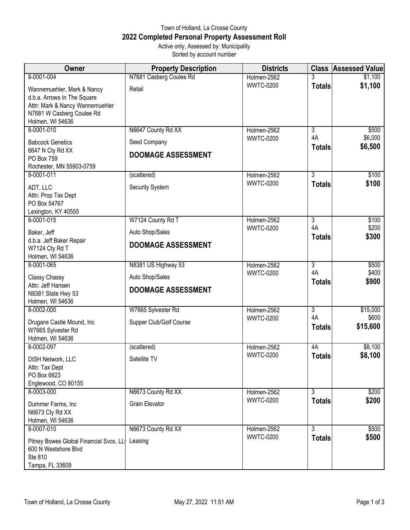## Town of Holland, La Crosse County **2022 Completed Personal Property Assessment Roll** Active only, Assessed by: Municipality

Sorted by account number

| <b>Owner</b>                                                                                                                                  | <b>Property Description</b> | <b>Districts</b> | <b>Class</b>        | <b>Assessed Value</b> |
|-----------------------------------------------------------------------------------------------------------------------------------------------|-----------------------------|------------------|---------------------|-----------------------|
| 8-0001-004                                                                                                                                    | N7681 Casberg Coulee Rd     | Holmen-2562      |                     | \$1,100               |
| Wannemuehler, Mark & Nancy<br>d.b.a. Arrows In The Square<br>Attn: Mark & Nancy Wannemuehler<br>N7681 W Casberg Coulee Rd<br>Holmen, WI 54636 | Retail                      | <b>WWTC-0200</b> | <b>Totals</b>       | \$1,100               |
| 8-0001-010                                                                                                                                    | N6647 County Rd XX          | Holmen-2562      | $\overline{3}$      | \$500                 |
| <b>Babcock Genetics</b>                                                                                                                       | Seed Company                | <b>WWTC-0200</b> | 4A                  | \$6,000               |
| 6647 N Cty Rd XX<br>PO Box 759<br>Rochester, MN 55903-0759                                                                                    | <b>DOOMAGE ASSESSMENT</b>   |                  | <b>Totals</b>       | \$6,500               |
| 8-0001-011                                                                                                                                    | (scattered)                 | Holmen-2562      | 3                   | \$100                 |
| ADT, LLC<br>Attn: Prop Tax Dept<br>PO Box 54767<br>Lexington, KY 40555                                                                        | Security System             | <b>WWTC-0200</b> | <b>Totals</b>       | \$100                 |
| 8-0001-015                                                                                                                                    | W7124 County Rd T           | Holmen-2562      | $\overline{3}$      | \$100                 |
| Baker, Jeff                                                                                                                                   | Auto Shop/Sales             | <b>WWTC-0200</b> | 4A<br><b>Totals</b> | \$200<br>\$300        |
| d.b.a. Jeff Baker Repair<br>W7124 Cty Rd T<br>Holmen, WI 54636                                                                                | <b>DOOMAGE ASSESSMENT</b>   |                  |                     |                       |
| 8-0001-065                                                                                                                                    | N8381 US Highway 53         | Holmen-2562      | $\overline{3}$      | \$500                 |
| Classy Chassy                                                                                                                                 | Auto Shop/Sales             | <b>WWTC-0200</b> | 4A                  | \$400                 |
| Attn: Jeff Hansen<br>N8381 State Hwy 53<br>Holmen, WI 54636                                                                                   | <b>DOOMAGE ASSESSMENT</b>   |                  | <b>Totals</b>       | \$900                 |
| 8-0002-000                                                                                                                                    | W7665 Sylvester Rd          | Holmen-2562      | $\overline{3}$      | \$15,000              |
| Drugans Castle Mound, Inc<br>W7665 Sylvester Rd<br>Holmen, WI 54636                                                                           | Supper Club/Golf Course     | <b>WWTC-0200</b> | 4A<br><b>Totals</b> | \$600<br>\$15,600     |
| 8-0002-097                                                                                                                                    | (scattered)                 | Holmen-2562      | 4A                  | \$8,100               |
| <b>DISH Network, LLC</b><br>Attn: Tax Dept<br>PO Box 6623<br>Englewood, CO 80155                                                              | Satellite TV                | <b>WWTC-0200</b> | <b>Totals</b>       | \$8,100               |
| 8-0003-000                                                                                                                                    | N6673 County Rd XX          | Holmen-2562      | $\overline{3}$      | \$200                 |
| Dummer Farms, Inc<br>N6673 Cty Rd XX<br>Holmen, WI 54636                                                                                      | <b>Grain Elevator</b>       | <b>WWTC-0200</b> | <b>Totals</b>       | \$200                 |
| 8-0007-010                                                                                                                                    | N6673 County Rd XX          | Holmen-2562      | $\overline{3}$      | \$500                 |
| Pitney Bowes Global Financial Svcs, LL<br>600 N Westshore Blvd<br>Ste 810<br>Tampa, FL 33609                                                  | Leasing                     | <b>WWTC-0200</b> | <b>Totals</b>       | \$500                 |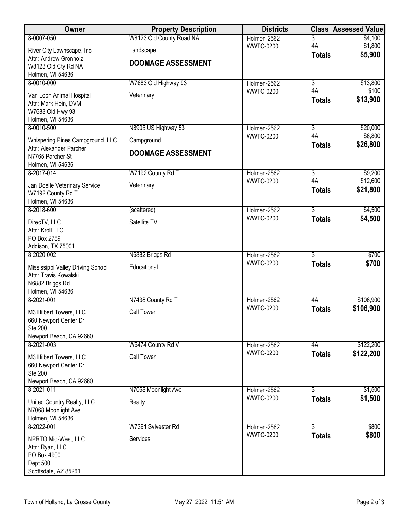| Owner                                                       | <b>Property Description</b> | <b>Districts</b> | <b>Class</b>         | <b>Assessed Value</b> |
|-------------------------------------------------------------|-----------------------------|------------------|----------------------|-----------------------|
| 8-0007-050                                                  | W8123 Old County Road NA    | Holmen-2562      | 3                    | \$4,100               |
| River City Lawnscape, Inc                                   | Landscape                   | <b>WWTC-0200</b> | 4A                   | \$1,800<br>\$5,900    |
| Attn: Andrew Gronholz                                       | <b>DOOMAGE ASSESSMENT</b>   |                  | <b>Totals</b>        |                       |
| W8123 Old Cty Rd NA<br>Holmen, WI 54636                     |                             |                  |                      |                       |
| 8-0010-000                                                  | W7683 Old Highway 93        | Holmen-2562      | $\overline{3}$       | \$13,800              |
| Van Loon Animal Hospital                                    | Veterinary                  | <b>WWTC-0200</b> | 4A                   | \$100                 |
| Attn: Mark Hein, DVM                                        |                             |                  | <b>Totals</b>        | \$13,900              |
| W7683 Old Hwy 93                                            |                             |                  |                      |                       |
| Holmen, WI 54636<br>8-0010-500                              | N8905 US Highway 53         | Holmen-2562      | $\overline{3}$       | \$20,000              |
|                                                             |                             | <b>WWTC-0200</b> | 4A                   | \$6,800               |
| Whispering Pines Campground, LLC<br>Attn: Alexander Parcher | Campground                  |                  | <b>Totals</b>        | \$26,800              |
| N7765 Parcher St                                            | <b>DOOMAGE ASSESSMENT</b>   |                  |                      |                       |
| Holmen, WI 54636                                            |                             |                  |                      |                       |
| 8-2017-014                                                  | W7192 County Rd T           | Holmen-2562      | $\overline{3}$<br>4A | \$9,200<br>\$12,600   |
| Jan Doelle Veterinary Service                               | Veterinary                  | <b>WWTC-0200</b> | <b>Totals</b>        | \$21,800              |
| W7192 County Rd T<br>Holmen, WI 54636                       |                             |                  |                      |                       |
| 8-2018-600                                                  | (scattered)                 | Holmen-2562      | $\overline{3}$       | \$4,500               |
| DirecTV, LLC                                                | Satellite TV                | <b>WWTC-0200</b> | <b>Totals</b>        | \$4,500               |
| Attn: Kroll LLC                                             |                             |                  |                      |                       |
| PO Box 2789                                                 |                             |                  |                      |                       |
| Addison, TX 75001<br>8-2020-002                             | N6882 Briggs Rd             | Holmen-2562      | $\overline{3}$       | \$700                 |
|                                                             |                             | <b>WWTC-0200</b> | <b>Totals</b>        | \$700                 |
| Mississippi Valley Driving School<br>Attn: Travis Kowalski  | Educational                 |                  |                      |                       |
| N6882 Briggs Rd                                             |                             |                  |                      |                       |
| Holmen, WI 54636                                            |                             |                  |                      |                       |
| 8-2021-001                                                  | N7438 County Rd T           | Holmen-2562      | 4A                   | \$106,900             |
| M3 Hilbert Towers, LLC                                      | <b>Cell Tower</b>           | <b>WWTC-0200</b> | <b>Totals</b>        | \$106,900             |
| 660 Newport Center Dr<br><b>Ste 200</b>                     |                             |                  |                      |                       |
| Newport Beach, CA 92660                                     |                             |                  |                      |                       |
| 8-2021-003                                                  | W6474 County Rd V           | Holmen-2562      | 4A                   | \$122,200             |
| M3 Hilbert Towers, LLC                                      | <b>Cell Tower</b>           | <b>WWTC-0200</b> | <b>Totals</b>        | \$122,200             |
| 660 Newport Center Dr                                       |                             |                  |                      |                       |
| <b>Ste 200</b><br>Newport Beach, CA 92660                   |                             |                  |                      |                       |
| 8-2021-011                                                  | N7068 Moonlight Ave         | Holmen-2562      | 3                    | \$1,500               |
| United Country Realty, LLC                                  | Realty                      | <b>WWTC-0200</b> | <b>Totals</b>        | \$1,500               |
| N7068 Moonlight Ave                                         |                             |                  |                      |                       |
| Holmen, WI 54636                                            |                             |                  |                      |                       |
| 8-2022-001                                                  | W7391 Sylvester Rd          | Holmen-2562      | $\overline{3}$       | \$800                 |
| NPRTO Mid-West, LLC                                         | Services                    | <b>WWTC-0200</b> | <b>Totals</b>        | \$800                 |
| Attn: Ryan, LLC                                             |                             |                  |                      |                       |
| PO Box 4900<br>Dept 500                                     |                             |                  |                      |                       |
| Scottsdale, AZ 85261                                        |                             |                  |                      |                       |